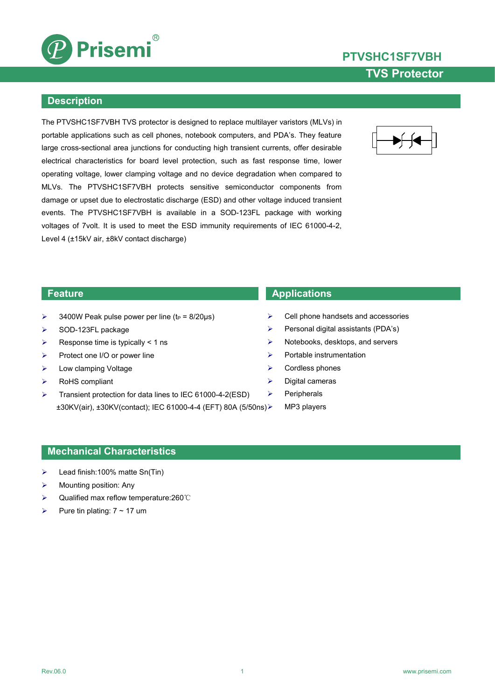

# **PTVSHC1SF7VBH TVS Protector**

### **Description**

The PTVSHC1SF7VBH TVS protector is designed to replace multilayer varistors (MLVs) in portable applications such as cell phones, notebook computers, and PDA's. They feature large cross-sectional area junctions for conducting high transient currents, offer desirable electrical characteristics for board level protection, such as fast response time, lower operating voltage, lower clamping voltage and no device degradation when compared to MLVs. The PTVSHC1SF7VBH protects sensitive semiconductor components from damage or upset due to electrostatic discharge (ESD) and other voltage induced transient events. The PTVSHC1SF7VBH is available in a SOD-123FL package with working voltages of 7volt. It is used to meet the ESD immunity requirements of IEC 61000-4-2, Level 4 (±15kV air, ±8kV contact discharge)



- $\geq$  3400W Peak pulse power per line (t<sub>P</sub> = 8/20µs)
- $\triangleright$  SOD-123FL package
- $\triangleright$  Response time is typically < 1 ns
- $\triangleright$  Protect one I/O or power line
- > Low clamping Voltage
- RoHS compliant
- Transient protection for data lines to IEC 61000-4-2(ESD)  $\rightarrow$ ±30KV(air), ±30KV(contact); IEC 61000-4-4 (EFT) 80A (5/50ns)

### **Feature Applications**

- Cell phone handsets and accessories
- $\triangleright$  Personal digital assistants (PDA's)
- $\triangleright$  Notebooks, desktops, and servers
- $\triangleright$  Portable instrumentation
- $\triangleright$  Cordless phones
- $\triangleright$  Digital cameras
	- Peripherals
	- MP3 players

### **Mechanical Characteristics**

- $\blacktriangleright$  Lead finish:100% matte Sn(Tin)
- Mounting position: Any
- Qualified max reflow temperature:260℃
- Pure tin plating:  $7 \sim 17$  um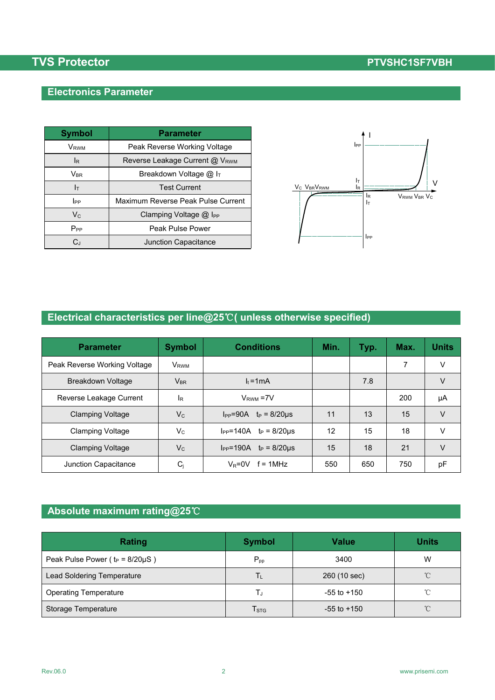# **TVS** Protector **PTVSHC1SF7VBH**

## **Electronics Parameter**

| <b>Symbol</b>              | <b>Parameter</b>                   |                                                             |
|----------------------------|------------------------------------|-------------------------------------------------------------|
| <b>V</b> <sub>RWM</sub>    | Peak Reverse Working Voltage       | $_{\rm lpp}$                                                |
| IR.                        | Reverse Leakage Current @ VRWM     |                                                             |
| $\mathsf{V}_{\mathsf{BR}}$ | Breakdown Voltage @ IT             |                                                             |
| Iт                         | <b>Test Current</b>                | Iτ<br>V <sub>C</sub> V <sub>BR</sub> V <sub>RWM</sub><br>lR |
| <b>I</b> PP                | Maximum Reverse Peak Pulse Current |                                                             |
| $\mathsf{V}_{\mathsf{C}}$  | Clamping Voltage @ I <sub>PP</sub> |                                                             |
| $P_{PP}$                   | Peak Pulse Power                   |                                                             |
| C,                         | Junction Capacitance               |                                                             |



## **Electrical characteristics per line@25**℃**( unless otherwise specified)**

| <b>Parameter</b>             | <b>Symbol</b>           | <b>Conditions</b>                     | Min. | Typ. | Max. | <b>Units</b> |
|------------------------------|-------------------------|---------------------------------------|------|------|------|--------------|
| Peak Reverse Working Voltage | <b>V</b> <sub>RWM</sub> |                                       |      |      | 7    | v            |
| Breakdown Voltage            | $V_{BR}$                | $I_t = 1mA$                           |      | 7.8  |      | V            |
| Reverse Leakage Current      | IR.                     | $VRWM = 7V$                           |      |      | 200  | μA           |
| <b>Clamping Voltage</b>      | $V_{C}$                 | $I_{PP} = 90A$ $t_P = 8/20 \mu s$     | 11   | 13   | 15   | V            |
| <b>Clamping Voltage</b>      | $V_{C}$                 | $I_{PP} = 140A$ $t_P = 8/20 \mu s$    | 12   | 15   | 18   | $\vee$       |
| <b>Clamping Voltage</b>      | $V_{C}$                 | $I_{PP} = 190A$<br>$t_P = 8/20 \mu s$ | 15   | 18   | 21   | V            |
| Junction Capacitance         | $C_j$                   | $V_R = 0V$<br>$f = 1$ MHz             | 550  | 650  | 750  | pF           |

## **Absolute maximum rating@25**℃

| Rating                                 | <b>Symbol</b>               | <b>Value</b>    | <b>Units</b> |
|----------------------------------------|-----------------------------|-----------------|--------------|
| Peak Pulse Power ( $t_P = 8/20\mu S$ ) | $P_{\text{pp}}$             | 3400            | W            |
| Lead Soldering Temperature             | Tι                          | 260 (10 sec)    | $^{\circ}$ C |
| <b>Operating Temperature</b>           | IJ                          | $-55$ to $+150$ | °C           |
| Storage Temperature                    | $\mathsf{T}_{\texttt{STG}}$ | $-55$ to $+150$ | $^{\circ}$ C |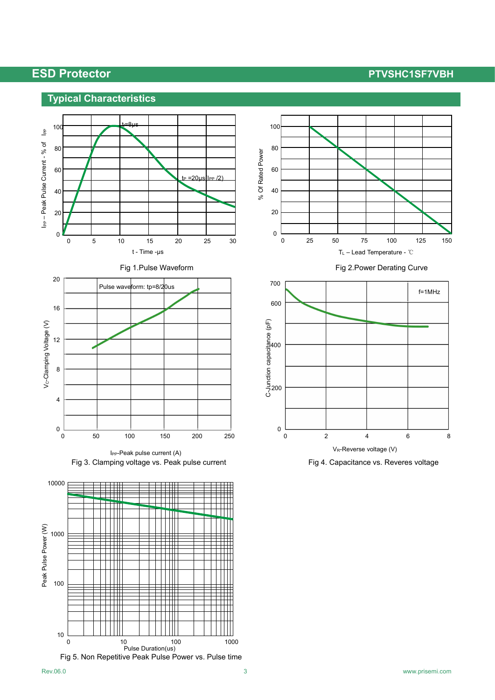## **ESD Protector PTVSHC1SF7VBH**

## **Typical Characteristics**















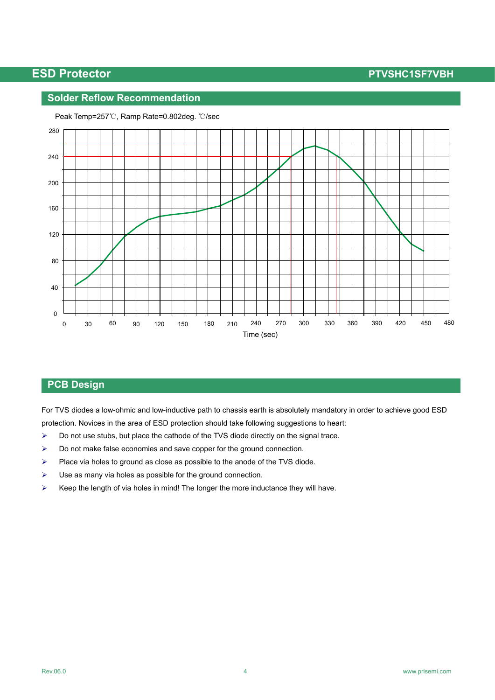## **ESD Protector PTVSHC1SF7VBH**

### **Solder Reflow Recommendation**



Peak Temp=257℃, Ramp Rate=0.802deg. ℃/sec

### **PCB Design**

For TVS diodes a low-ohmic and low-inductive path to chassis earth is absolutely mandatory in order to achieve good ESD protection. Novices in the area of ESD protection should take following suggestions to heart:

- $\triangleright$  Do not use stubs, but place the cathode of the TVS diode directly on the signal trace.
- $\triangleright$  Do not make false economies and save copper for the ground connection.
- $\triangleright$  Place via holes to ground as close as possible to the anode of the TVS diode.
- $\triangleright$  Use as many via holes as possible for the ground connection.
- $\triangleright$  Keep the length of via holes in mind! The longer the more inductance they will have.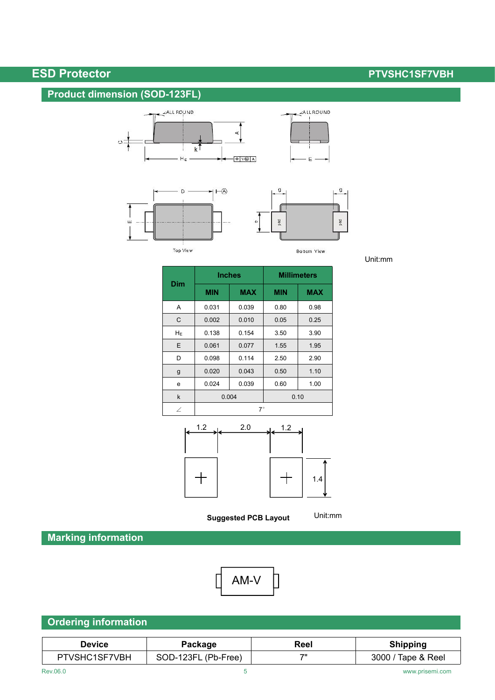# **ESD Protector PTVSHC1SF7VBH**

## **Product dimension (SOD-123FL)**







**Bottom View** 

Unit:mm

|              | <b>Inches</b> |            | <b>Millimeters</b> |            |  |
|--------------|---------------|------------|--------------------|------------|--|
| <b>Dim</b>   | <b>MIN</b>    | <b>MAX</b> | <b>MIN</b>         | <b>MAX</b> |  |
| Α            | 0.031         | 0.039      | 0.80               | 0.98       |  |
| C            | 0.002         | 0.010      | 0.05               | 0.25       |  |
| $H_E$        | 0.138         | 0.154      | 3.50               | 3.90       |  |
| E            | 0.061         | 0.077      | 1.55               | 1.95       |  |
| D            | 0.098         | 0.114      | 2.50               | 2.90       |  |
| g            | 0.020         | 0.043      | 0.50               | 1.10       |  |
| e            | 0.024         | 0.039      | 0.60               | 1.00       |  |
| $\mathsf{k}$ | 0.004         |            | 0.10               |            |  |
| $\angle$     | $7^\circ$     |            |                    |            |  |

 $\Phi$ 



**Suggested PCB Layout**

Unit:mm

**Marking information**



|--|

| <b>Device</b>   | Package                    | Reel | Shipping            |
|-----------------|----------------------------|------|---------------------|
| ISF7VBH<br>vəny | 123F<br>(Pb-Free)<br>SOD-′ | 70   | 3000<br>Tape & Reel |